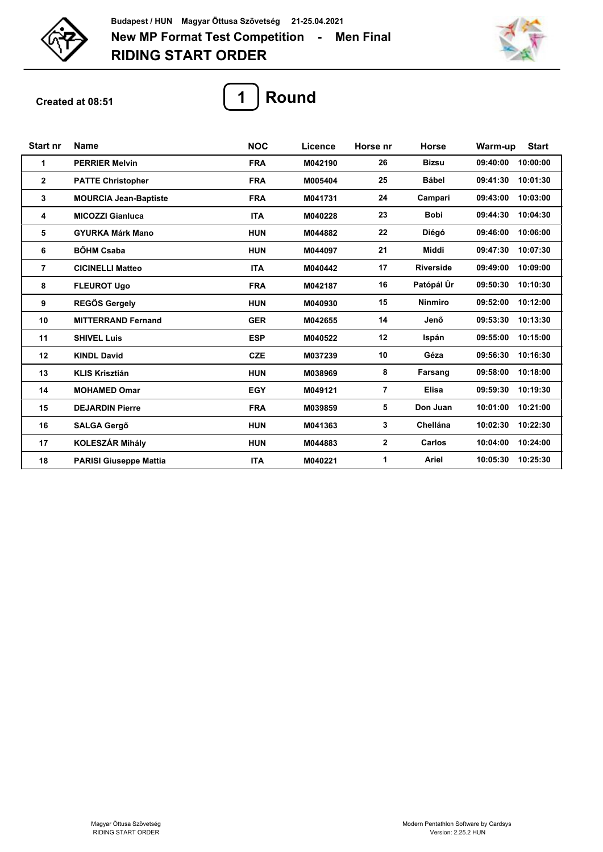



**Created at 08:51**



| <b>Start nr</b> | <b>Name</b>                   | <b>NOC</b> | Licence | Horse nr       | <b>Horse</b>     | <b>Start</b><br>Warm-up |
|-----------------|-------------------------------|------------|---------|----------------|------------------|-------------------------|
| 1               | <b>PERRIER Melvin</b>         | <b>FRA</b> | M042190 | 26             | <b>Bizsu</b>     | 09:40:00<br>10:00:00    |
| $\overline{2}$  | <b>PATTE Christopher</b>      | <b>FRA</b> | M005404 | 25             | <b>Bábel</b>     | 10:01:30<br>09:41:30    |
| 3               | <b>MOURCIA Jean-Baptiste</b>  | <b>FRA</b> | M041731 | 24             | Campari          | 09:43:00<br>10:03:00    |
| 4               | <b>MICOZZI Gianluca</b>       | <b>ITA</b> | M040228 | 23             | <b>Bobi</b>      | 10:04:30<br>09:44:30    |
| 5               | <b>GYURKA Márk Mano</b>       | <b>HUN</b> | M044882 | 22             | Diégó            | 09:46:00<br>10:06:00    |
| 6               | <b>BÖHM Csaba</b>             | <b>HUN</b> | M044097 | 21             | Middi            | 10:07:30<br>09:47:30    |
| 7               | <b>CICINELLI Matteo</b>       | <b>ITA</b> | M040442 | 17             | <b>Riverside</b> | 10:09:00<br>09:49:00    |
| 8               | <b>FLEUROT Ugo</b>            | <b>FRA</b> | M042187 | 16             | Patópál Úr       | 09:50:30<br>10:10:30    |
| 9               | <b>REGŐS Gergely</b>          | <b>HUN</b> | M040930 | 15             | <b>Ninmiro</b>   | 10:12:00<br>09:52:00    |
| 10              | <b>MITTERRAND Fernand</b>     | <b>GER</b> | M042655 | 14             | Jenő             | 10:13:30<br>09:53:30    |
| 11              | <b>SHIVEL Luis</b>            | <b>ESP</b> | M040522 | 12             | Ispán            | 10:15:00<br>09:55:00    |
| 12              | <b>KINDL David</b>            | <b>CZE</b> | M037239 | 10             | Géza             | 09:56:30<br>10:16:30    |
| 13              | <b>KLIS Krisztián</b>         | <b>HUN</b> | M038969 | 8              | Farsang          | 10:18:00<br>09:58:00    |
| 14              | <b>MOHAMED Omar</b>           | <b>EGY</b> | M049121 | $\overline{7}$ | <b>Elisa</b>     | 10:19:30<br>09:59:30    |
| 15              | <b>DEJARDIN Pierre</b>        | <b>FRA</b> | M039859 | 5              | Don Juan         | 10:21:00<br>10:01:00    |
| 16              | <b>SALGA Gergő</b>            | <b>HUN</b> | M041363 | 3              | <b>Chellána</b>  | 10:02:30<br>10:22:30    |
| 17              | <b>KOLESZÁR Mihály</b>        | <b>HUN</b> | M044883 | $\mathbf{2}$   | Carlos           | 10:24:00<br>10:04:00    |
| 18              | <b>PARISI Giuseppe Mattia</b> | <b>ITA</b> | M040221 | 1              | Ariel            | 10:25:30<br>10:05:30    |